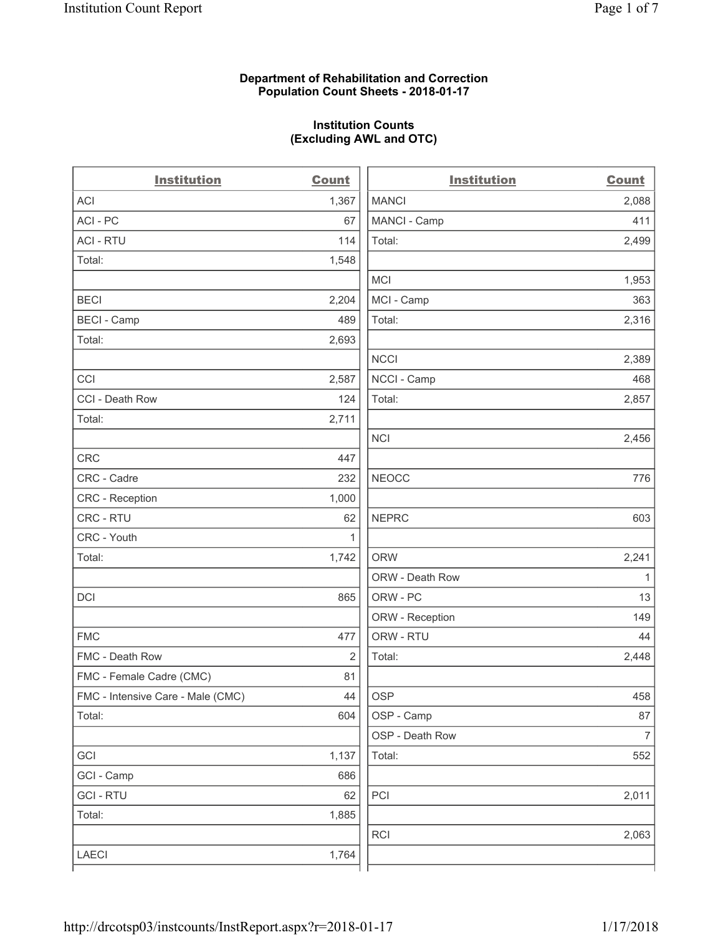#### **Department of Rehabilitation and Correction Population Count Sheets - 2018-01-17**

# **Institution Counts (Excluding AWL and OTC)**

 $\overline{a}$ .

| <b>Institution</b>                | <b>Count</b> | <b>Institution</b> | <b>Count</b>             |
|-----------------------------------|--------------|--------------------|--------------------------|
| <b>ACI</b>                        | 1,367        | <b>MANCI</b>       | 2,088                    |
| ACI - PC                          | 67           | MANCI - Camp       | 411                      |
| <b>ACI - RTU</b>                  | 114          | Total:             | 2,499                    |
| Total:                            | 1,548        |                    |                          |
|                                   |              | MCI                | 1,953                    |
| <b>BECI</b>                       | 2,204        | MCI - Camp         | 363                      |
| <b>BECI</b> - Camp                | 489          | Total:             | 2,316                    |
| Total:                            | 2,693        |                    |                          |
|                                   |              | <b>NCCI</b>        | 2,389                    |
| CCI                               | 2,587        | NCCI - Camp        | 468                      |
| CCI - Death Row                   | 124          | Total:             | 2,857                    |
| Total:                            | 2,711        |                    |                          |
|                                   |              | <b>NCI</b>         | 2,456                    |
| <b>CRC</b>                        | 447          |                    |                          |
| CRC - Cadre                       | 232          | <b>NEOCC</b>       | 776                      |
| CRC - Reception                   | 1,000        |                    |                          |
| CRC - RTU                         | 62           | <b>NEPRC</b>       | 603                      |
| CRC - Youth                       | 1            |                    |                          |
| Total:                            | 1,742        | <b>ORW</b>         | 2,241                    |
|                                   |              | ORW - Death Row    | 1                        |
| DCI                               | 865          | ORW - PC           | 13                       |
|                                   |              | ORW - Reception    | 149                      |
| <b>FMC</b>                        | 477          | ORW - RTU          | 44                       |
| FMC - Death Row                   | 2            | Total:             | 2,448                    |
| FMC - Female Cadre (CMC)          | 81           |                    |                          |
| FMC - Intensive Care - Male (CMC) | 44           | <b>OSP</b>         | 458                      |
| Total:                            | 604          | OSP - Camp         | 87                       |
|                                   |              | OSP - Death Row    | $\overline{\mathcal{I}}$ |
| GCI                               | 1,137        | Total:             | 552                      |
| GCI - Camp                        | 686          |                    |                          |
| <b>GCI-RTU</b>                    | 62           | PCI                | 2,011                    |
| Total:                            | 1,885        |                    |                          |
|                                   |              | <b>RCI</b>         | 2,063                    |
| LAECI                             | 1,764        |                    |                          |
|                                   |              |                    |                          |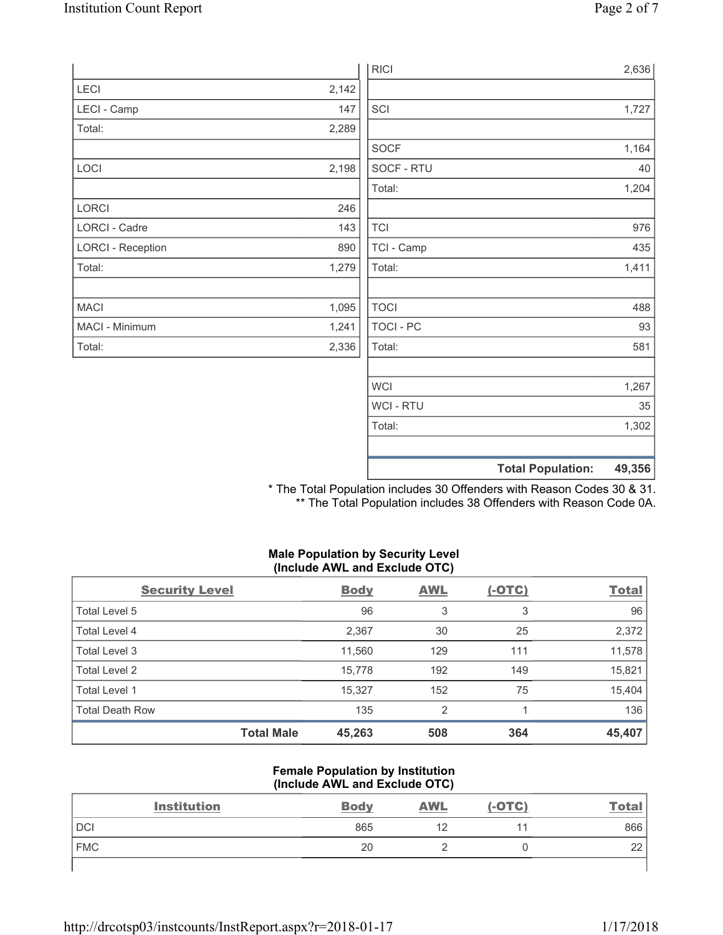|                          |       | <b>RICI</b> | 2,636                              |
|--------------------------|-------|-------------|------------------------------------|
| LECI                     | 2,142 |             |                                    |
| LECI - Camp              | 147   | SCI         | 1,727                              |
| Total:                   | 2,289 |             |                                    |
|                          |       | <b>SOCF</b> | 1,164                              |
| LOCI                     | 2,198 | SOCF - RTU  | 40                                 |
|                          |       | Total:      | 1,204                              |
| LORCI                    | 246   |             |                                    |
| LORCI - Cadre            | 143   | <b>TCI</b>  | 976                                |
| <b>LORCI - Reception</b> | 890   | TCI - Camp  | 435                                |
| Total:                   | 1,279 | Total:      | 1,411                              |
|                          |       |             |                                    |
| <b>MACI</b>              | 1,095 | <b>TOCI</b> | 488                                |
| MACI - Minimum           | 1,241 | TOCI - PC   | 93                                 |
| Total:                   | 2,336 | Total:      | 581                                |
|                          |       |             |                                    |
|                          |       | <b>WCI</b>  | 1,267                              |
|                          |       | WCI - RTU   | 35                                 |
|                          |       | Total:      | 1,302                              |
|                          |       |             | 49,356<br><b>Total Population:</b> |

\* The Total Population includes 30 Offenders with Reason Codes 30 & 31. \*\* The Total Population includes 38 Offenders with Reason Code 0A.

#### **Male Population by Security Level (Include AWL and Exclude OTC)**

| <b>Security Level</b>  |                   | <b>Body</b> | <b>AWL</b>     | $(-OTC)$ | <b>Total</b> |
|------------------------|-------------------|-------------|----------------|----------|--------------|
| Total Level 5          |                   | 96          | 3              | 3        | 96           |
| Total Level 4          |                   | 2,367       | 30             | 25       | 2,372        |
| Total Level 3          |                   | 11,560      | 129            | 111      | 11,578       |
| Total Level 2          |                   | 15,778      | 192            | 149      | 15,821       |
| Total Level 1          |                   | 15,327      | 152            | 75       | 15,404       |
| <b>Total Death Row</b> |                   | 135         | $\overline{2}$ |          | 136          |
|                        | <b>Total Male</b> | 45,263      | 508            | 364      | 45,407       |

#### **Female Population by Institution (Include AWL and Exclude OTC)**

| <b>Institution</b> | <b>Body</b> | <b>AWL</b> | $(-OTC)$ | <u>Total</u> |
|--------------------|-------------|------------|----------|--------------|
| <b>DCI</b>         | 865         | 12         |          | 866          |
| <b>FMC</b>         | 20          |            |          | 22           |
|                    |             |            |          |              |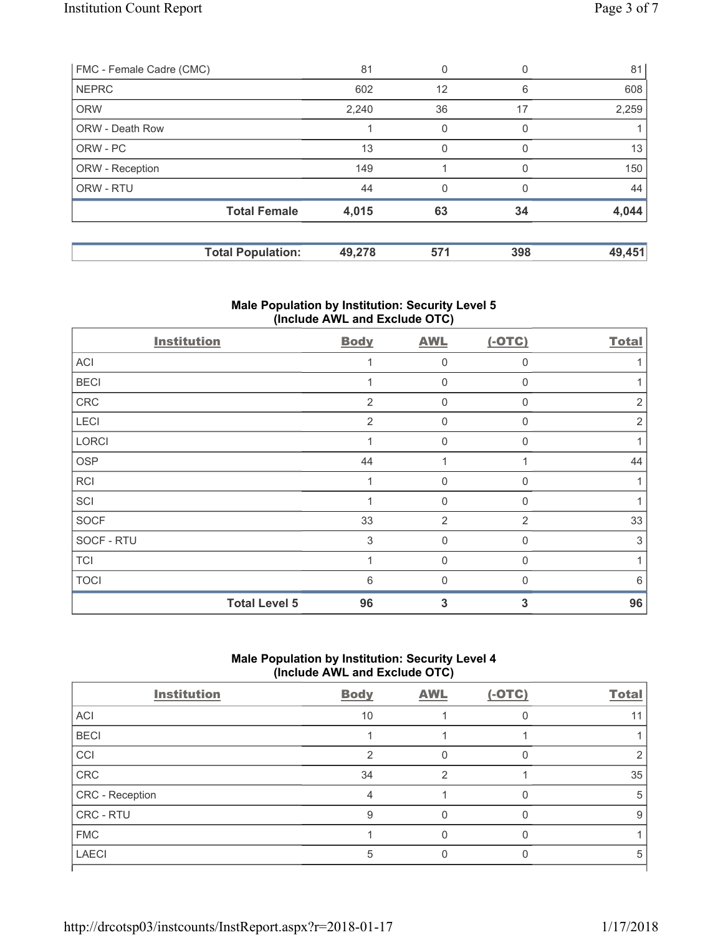| FMC - Female Cadre (CMC) |                          | 81     | 0        |              | 81     |
|--------------------------|--------------------------|--------|----------|--------------|--------|
| <b>NEPRC</b>             |                          | 602    | 12       | 6            | 608    |
| <b>ORW</b>               |                          | 2,240  | 36       | 17           | 2,259  |
| <b>ORW - Death Row</b>   |                          |        | $\Omega$ | 0            |        |
| ORW - PC                 |                          | 13     | 0        |              | 13     |
| ORW - Reception          |                          | 149    |          | <sup>0</sup> | 150    |
| ORW - RTU                |                          | 44     | $\Omega$ | $\Omega$     | 44     |
|                          | <b>Total Female</b>      | 4,015  | 63       | 34           | 4,044  |
|                          | <b>Total Population:</b> | 49,278 | 571      | 398          | 49,451 |

## **Male Population by Institution: Security Level 5 (Include AWL and Exclude OTC)**

| <b>Institution</b> |                      | <b>Body</b>  | <b>AWL</b>   | $(-OTC)$ | <b>Total</b>   |
|--------------------|----------------------|--------------|--------------|----------|----------------|
| ACI                |                      |              | 0            | $\Omega$ |                |
| <b>BECI</b>        |                      |              | $\mathbf 0$  | 0        |                |
| ${\sf CRC}$        |                      | 2            | $\mathbf 0$  | 0        | $\overline{2}$ |
| LECI               |                      | 2            | $\mathbf 0$  | $\Omega$ | $\overline{2}$ |
| <b>LORCI</b>       |                      |              | $\mathbf 0$  | 0        |                |
| <b>OSP</b>         |                      | 44           | 1            |          | 44             |
| <b>RCI</b>         |                      | $\mathbf{1}$ | $\mathsf{0}$ | 0        | 1              |
| SCI                |                      |              | $\mathbf 0$  | 0        |                |
| <b>SOCF</b>        |                      | 33           | 2            | 2        | 33             |
| SOCF - RTU         |                      | 3            | $\mathbf 0$  | 0        | $\mathsf 3$    |
| <b>TCI</b>         |                      |              | $\Omega$     | 0        |                |
| <b>TOCI</b>        |                      | 6            | $\Omega$     | O        | 6              |
|                    | <b>Total Level 5</b> | 96           | 3            | 3        | 96             |

## **Male Population by Institution: Security Level 4 (Include AWL and Exclude OTC)**

| <b>Institution</b> | <b>Body</b> | <b>AWL</b> | $(-OTC)$ | <b>Total</b> |
|--------------------|-------------|------------|----------|--------------|
| ACI                | 10          |            |          |              |
| <b>BECI</b>        |             |            |          |              |
| CCI                | っ           |            |          |              |
| CRC                | 34          |            |          | 35           |
| CRC - Reception    | 4           |            | O        | 5            |
| CRC - RTU          | 9           |            |          | 9            |
| <b>FMC</b>         |             |            |          |              |
| <b>LAECI</b>       | 5           |            |          | 5            |
|                    |             |            |          |              |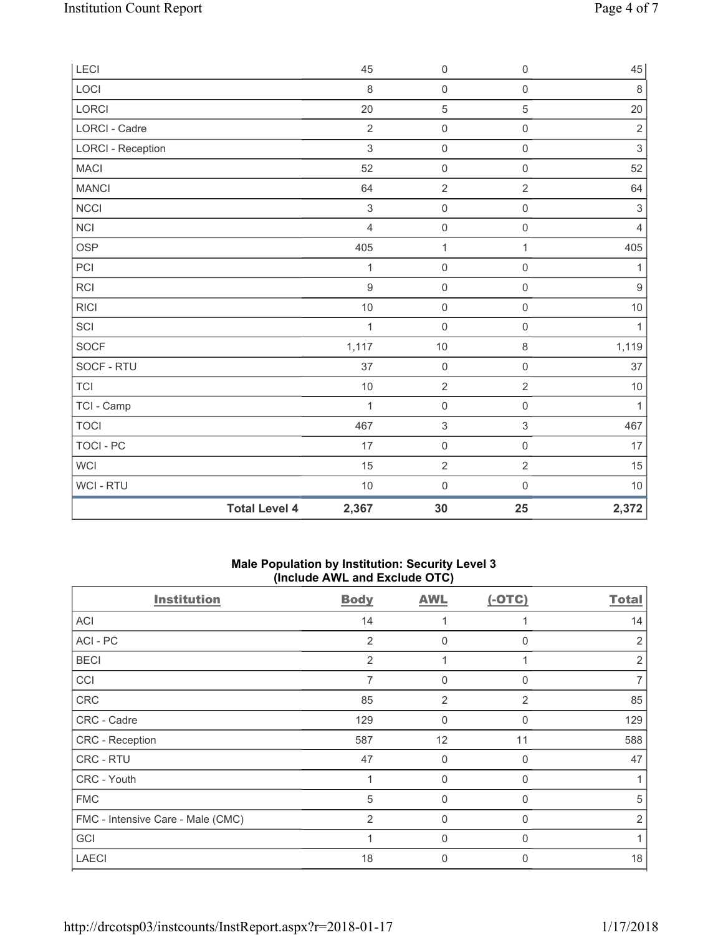| <b>LECI</b>              |                      | 45                        | $\boldsymbol{0}$          | $\mathsf{O}\xspace$ | 45                        |
|--------------------------|----------------------|---------------------------|---------------------------|---------------------|---------------------------|
| LOCI                     |                      | 8                         | $\mathsf{O}\xspace$       | $\mathsf{O}\xspace$ | $\,8\,$                   |
| LORCI                    |                      | 20                        | $\,$ 5 $\,$               | 5                   | 20                        |
| LORCI - Cadre            |                      | $\sqrt{2}$                | $\mathsf{O}\xspace$       | $\mathsf 0$         | $\sqrt{2}$                |
| <b>LORCI - Reception</b> |                      | $\mathfrak{S}$            | $\mathsf{O}\xspace$       | $\mathsf{O}\xspace$ | $\ensuremath{\mathsf{3}}$ |
| <b>MACI</b>              |                      | 52                        | $\mathsf{O}\xspace$       | 0                   | 52                        |
| <b>MANCI</b>             |                      | 64                        | $\sqrt{2}$                | $\overline{2}$      | 64                        |
| NCCI                     |                      | $\ensuremath{\mathsf{3}}$ | $\mathsf{O}\xspace$       | $\mathsf{O}\xspace$ | $\ensuremath{\mathsf{3}}$ |
| <b>NCI</b>               |                      | $\overline{4}$            | $\mathsf{O}\xspace$       | $\mathsf{O}\xspace$ | $\overline{4}$            |
| <b>OSP</b>               |                      | 405                       | $\mathbf{1}$              | $\mathbf{1}$        | 405                       |
| PCI                      |                      | 1                         | $\mathbf 0$               | $\mathsf{O}\xspace$ | 1                         |
| <b>RCI</b>               |                      | $9$                       | $\mathsf{O}\xspace$       | $\mathsf{O}\xspace$ | $\boldsymbol{9}$          |
| <b>RICI</b>              |                      | 10                        | $\mathsf{O}\xspace$       | $\mathsf{O}\xspace$ | 10                        |
| SCI                      |                      | $\mathbf 1$               | $\pmb{0}$                 | $\mathsf{O}\xspace$ | $\mathbf{1}$              |
| SOCF                     |                      | 1,117                     | 10                        | 8                   | 1,119                     |
| SOCF - RTU               |                      | 37                        | $\mathsf{O}\xspace$       | $\mathsf 0$         | 37                        |
| <b>TCI</b>               |                      | 10                        | $\sqrt{2}$                | $\overline{2}$      | $10$                      |
| TCI - Camp               |                      | $\mathbf{1}$              | $\mathsf{O}\xspace$       | $\mathsf{O}\xspace$ | $\mathbf{1}$              |
| <b>TOCI</b>              |                      | 467                       | $\ensuremath{\mathsf{3}}$ | $\mathfrak{S}$      | 467                       |
| TOCI - PC                |                      | 17                        | $\mathsf{O}\xspace$       | $\mathsf{O}\xspace$ | 17                        |
| <b>WCI</b>               |                      | 15                        | $\sqrt{2}$                | $\overline{2}$      | 15                        |
| WCI - RTU                |                      | 10                        | $\mathsf{O}\xspace$       | $\mathsf 0$         | 10                        |
|                          | <b>Total Level 4</b> | 2,367                     | 30                        | 25                  | 2,372                     |

## **Male Population by Institution: Security Level 3 (Include AWL and Exclude OTC)**

| <b>Institution</b>                | <b>Body</b>    | <b>AWL</b>     | $(-OTC)$ | <b>Total</b> |
|-----------------------------------|----------------|----------------|----------|--------------|
| ACI                               | 14             |                |          | 14           |
| ACI-PC                            | $\overline{2}$ | 0              | $\Omega$ | 2            |
| <b>BECI</b>                       | $\overline{2}$ |                |          | 2            |
| CCI                               | $\overline{7}$ | 0              | $\Omega$ |              |
| CRC                               | 85             | $\overline{2}$ | 2        | 85           |
| CRC - Cadre                       | 129            | 0              | $\Omega$ | 129          |
| CRC - Reception                   | 587            | 12             | 11       | 588          |
| CRC - RTU                         | 47             | $\mathbf 0$    | $\Omega$ | 47           |
| CRC - Youth                       |                | 0              | $\Omega$ |              |
| <b>FMC</b>                        | 5              | 0              | $\Omega$ | 5            |
| FMC - Intensive Care - Male (CMC) | $\overline{2}$ | 0              | $\Omega$ | 2            |
| GCI                               |                | 0              | $\Omega$ |              |
| <b>LAECI</b>                      | 18             | 0              | $\Omega$ | 18           |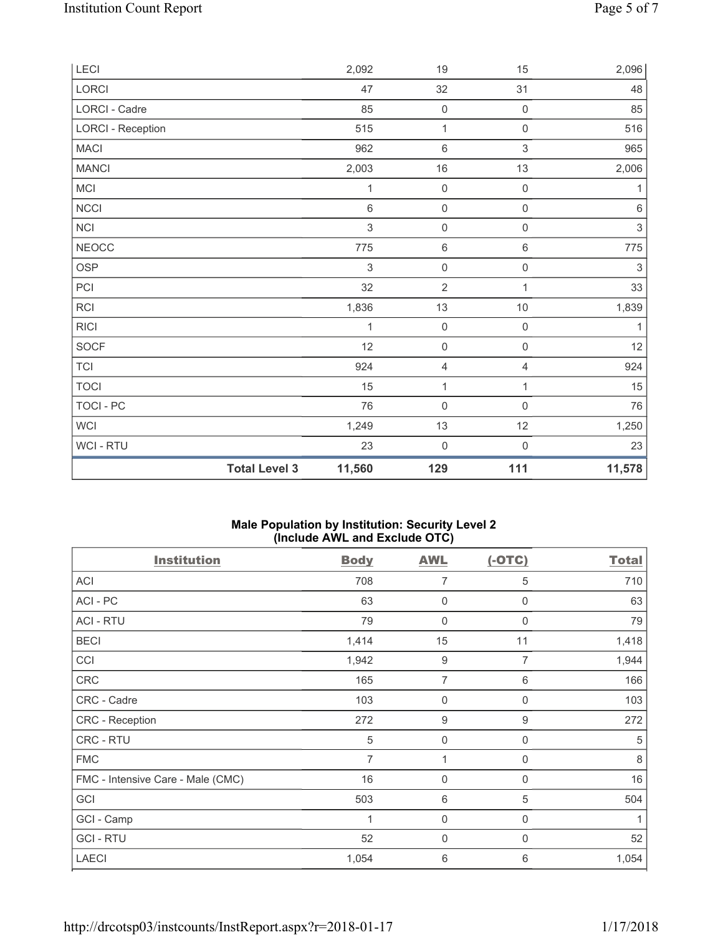| LECI                     |                      | 2,092   | 19                  | 15                        | 2,096                     |
|--------------------------|----------------------|---------|---------------------|---------------------------|---------------------------|
| LORCI                    |                      | 47      | 32                  | 31                        | 48                        |
| LORCI - Cadre            |                      | 85      | $\mathsf{O}\xspace$ | $\mathsf{O}\xspace$       | 85                        |
| <b>LORCI - Reception</b> |                      | 515     | $\mathbf 1$         | $\mathsf{O}\xspace$       | 516                       |
| <b>MACI</b>              |                      | 962     | $\,6\,$             | $\ensuremath{\mathsf{3}}$ | 965                       |
| <b>MANCI</b>             |                      | 2,003   | $16\,$              | 13                        | 2,006                     |
| MCI                      |                      | 1       | $\mathsf{O}\xspace$ | $\mathsf{O}\xspace$       | 1                         |
| NCCI                     |                      | $\,6\,$ | $\mathsf 0$         | $\mathsf{O}\xspace$       | $\,6\,$                   |
| NCI                      |                      | 3       | $\mathsf{O}\xspace$ | 0                         | $\ensuremath{\mathsf{3}}$ |
| <b>NEOCC</b>             |                      | 775     | $\,6\,$             | $\,6\,$                   | 775                       |
| <b>OSP</b>               |                      | 3       | $\mathsf 0$         | $\mathsf{O}\xspace$       | $\ensuremath{\mathsf{3}}$ |
| PCI                      |                      | 32      | $\overline{2}$      | $\mathbf{1}$              | 33                        |
| RCI                      |                      | 1,836   | 13                  | $10$                      | 1,839                     |
| <b>RICI</b>              |                      | 1       | $\mathsf{O}\xspace$ | $\mathsf{O}\xspace$       | 1                         |
| SOCF                     |                      | 12      | $\mathsf{O}\xspace$ | $\mathsf{O}\xspace$       | 12                        |
| <b>TCI</b>               |                      | 924     | $\overline{4}$      | $\overline{4}$            | 924                       |
| <b>TOCI</b>              |                      | 15      | 1                   | 1                         | 15                        |
| TOCI - PC                |                      | 76      | $\mathsf{O}\xspace$ | $\mathsf{O}\xspace$       | 76                        |
| <b>WCI</b>               |                      | 1,249   | $13\,$              | 12                        | 1,250                     |
| WCI - RTU                |                      | 23      | $\mathsf{O}\xspace$ | $\mathsf{O}\xspace$       | 23                        |
|                          | <b>Total Level 3</b> | 11,560  | 129                 | 111                       | 11,578                    |

#### **Male Population by Institution: Security Level 2 (Include AWL and Exclude OTC)**

| <b>Institution</b>                | <b>Body</b> | <b>AWL</b>     | $(-OTC)$     | <b>Total</b> |
|-----------------------------------|-------------|----------------|--------------|--------------|
| ACI                               | 708         | 7              | 5            | 710          |
| ACI - PC                          | 63          | 0              | $\mathbf{0}$ | 63           |
| <b>ACI - RTU</b>                  | 79          | 0              | 0            | 79           |
| <b>BECI</b>                       | 1,414       | 15             | 11           | 1,418        |
| CCI                               | 1,942       | 9              | 7            | 1,944        |
| <b>CRC</b>                        | 165         | $\overline{7}$ | 6            | 166          |
| CRC - Cadre                       | 103         | $\mathbf 0$    | 0            | 103          |
| CRC - Reception                   | 272         | 9              | 9            | 272          |
| CRC - RTU                         | 5           | 0              | 0            | 5            |
| <b>FMC</b>                        | 7           | 1              | 0            | 8            |
| FMC - Intensive Care - Male (CMC) | 16          | 0              | $\mathbf 0$  | 16           |
| GCI                               | 503         | 6              | 5            | 504          |
| GCI - Camp                        |             | $\mathbf 0$    | 0            | 1            |
| <b>GCI-RTU</b>                    | 52          | 0              | 0            | 52           |
| <b>LAECI</b>                      | 1,054       | 6              | 6            | 1,054        |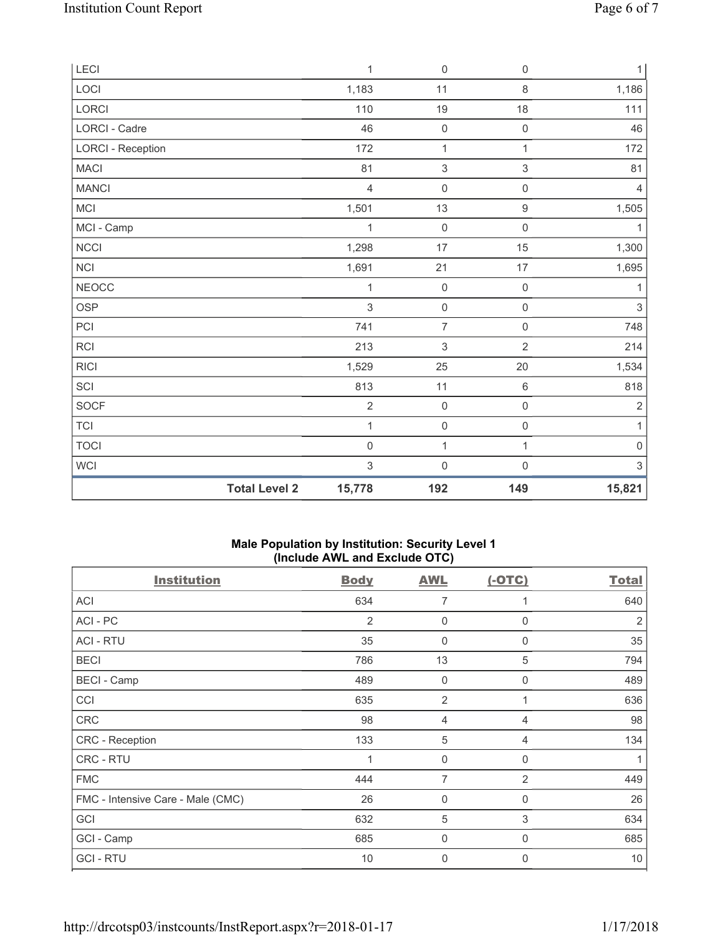| LECI                     |                      | 1                   | $\mathbf 0$               | $\mathsf{O}\xspace$ | 1                         |
|--------------------------|----------------------|---------------------|---------------------------|---------------------|---------------------------|
| LOCI                     |                      | 1,183               | 11                        | $\,8\,$             | 1,186                     |
| LORCI                    |                      | 110                 | 19                        | 18                  | 111                       |
| LORCI - Cadre            |                      | 46                  | $\mathbf 0$               | $\mathsf{O}\xspace$ | 46                        |
| <b>LORCI - Reception</b> |                      | 172                 | $\mathbf{1}$              | $\mathbf{1}$        | 172                       |
| MACI                     |                      | 81                  | $\,$ 3 $\,$               | $\mathsf 3$         | 81                        |
| <b>MANCI</b>             |                      | $\overline{4}$      | $\mathbf 0$               | $\mathsf{O}\xspace$ | $\overline{4}$            |
| MCI                      |                      | 1,501               | 13                        | $\mathsf g$         | 1,505                     |
| MCI - Camp               |                      | 1                   | $\mathbf 0$               | $\mathsf{O}\xspace$ | 1                         |
| <b>NCCI</b>              |                      | 1,298               | 17                        | 15                  | 1,300                     |
| <b>NCI</b>               |                      | 1,691               | 21                        | 17                  | 1,695                     |
| <b>NEOCC</b>             |                      | 1                   | $\mathbf 0$               | $\mathsf{O}\xspace$ | 1                         |
| OSP                      |                      | $\mathfrak{S}$      | $\mathsf 0$               | $\mathsf 0$         | $\sqrt{3}$                |
| PCI                      |                      | 741                 | $\overline{7}$            | $\mathsf{O}\xspace$ | 748                       |
| <b>RCI</b>               |                      | 213                 | $\ensuremath{\mathsf{3}}$ | $\overline{2}$      | 214                       |
| <b>RICI</b>              |                      | 1,529               | 25                        | $20\,$              | 1,534                     |
| SCI                      |                      | 813                 | 11                        | $\,6\,$             | 818                       |
| SOCF                     |                      | $\overline{2}$      | $\mathbf 0$               | $\mathsf{O}\xspace$ | $\sqrt{2}$                |
| <b>TCI</b>               |                      | $\mathbf{1}$        | $\mathsf 0$               | $\mathsf 0$         | 1                         |
| <b>TOCI</b>              |                      | $\mathsf{O}\xspace$ | $\mathbf 1$               | $\mathbf{1}$        | $\mathbf 0$               |
| <b>WCI</b>               |                      | $\sqrt{3}$          | $\mathbf 0$               | $\mathsf{O}\xspace$ | $\ensuremath{\mathsf{3}}$ |
|                          | <b>Total Level 2</b> | 15,778              | 192                       | 149                 | 15,821                    |

## **Male Population by Institution: Security Level 1 (Include AWL and Exclude OTC)**

| <b>Institution</b>                | <b>Body</b>  | <b>AWL</b>     | $(-OTC)$       | <b>Total</b> |
|-----------------------------------|--------------|----------------|----------------|--------------|
| ACI                               | 634          | 7              |                | 640          |
| ACI-PC                            | 2            | 0              | 0              | 2            |
| <b>ACI - RTU</b>                  | 35           | 0              | $\Omega$       | 35           |
| <b>BECI</b>                       | 786          | 13             | 5              | 794          |
| <b>BECI - Camp</b>                | 489          | $\mathbf 0$    | 0              | 489          |
| CCI                               | 635          | $\overline{2}$ |                | 636          |
| CRC                               | 98           | 4              | 4              | 98           |
| CRC - Reception                   | 133          | 5              | 4              | 134          |
| CRC - RTU                         | $\mathbf{1}$ | 0              | 0              | 1            |
| <b>FMC</b>                        | 444          | 7              | $\overline{2}$ | 449          |
| FMC - Intensive Care - Male (CMC) | 26           | 0              | 0              | 26           |
| GCI                               | 632          | 5              | 3              | 634          |
| GCI - Camp                        | 685          | 0              | 0              | 685          |
| <b>GCI-RTU</b>                    | 10           | $\mathbf 0$    | 0              | 10           |